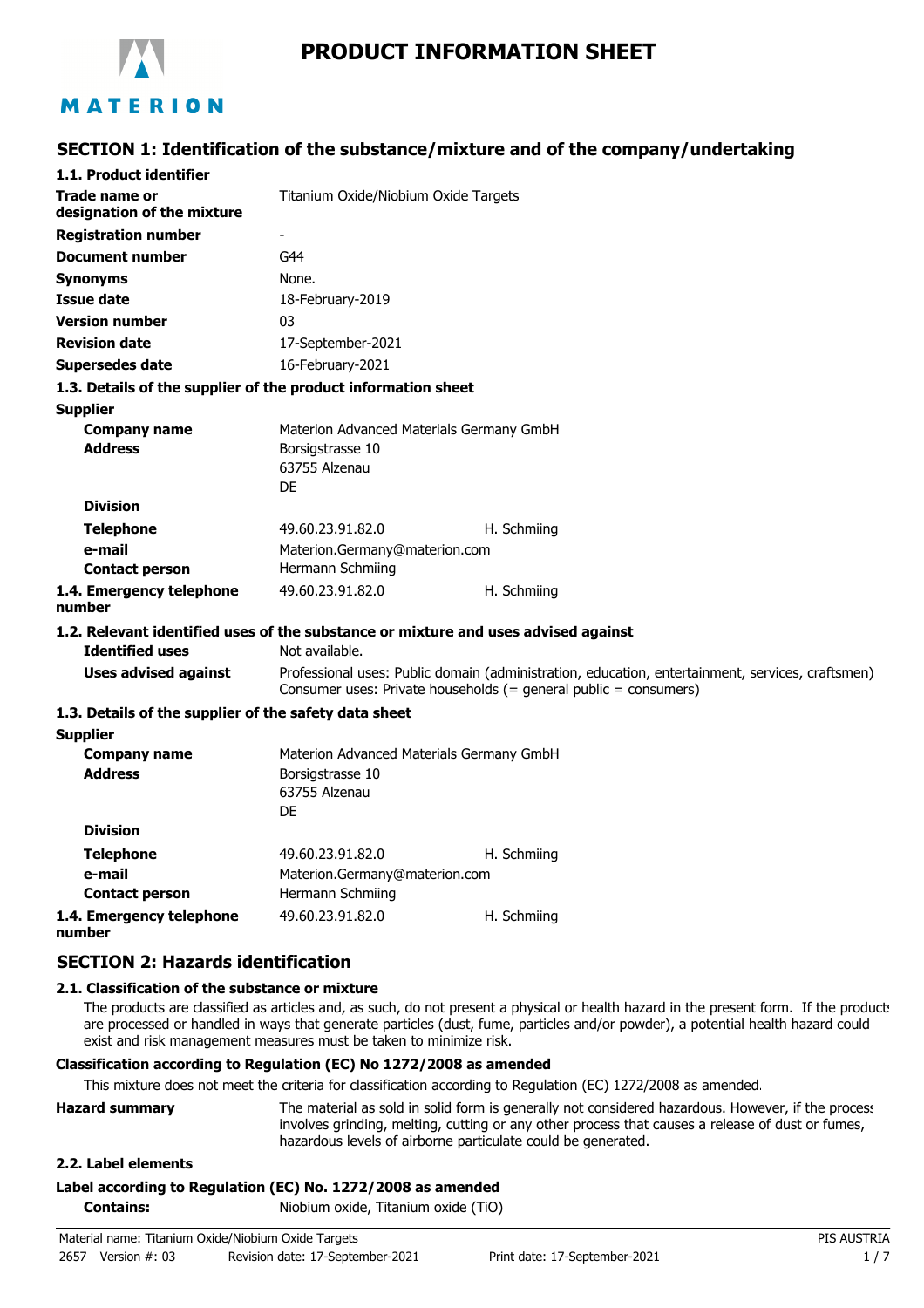

# **PRODUCT INFORMATION SHEET**

# **SECTION 1: Identification of the substance/mixture and of the company/undertaking**

| 1.1. Product identifier                                                            |                                          |                                                                                                                                                                      |
|------------------------------------------------------------------------------------|------------------------------------------|----------------------------------------------------------------------------------------------------------------------------------------------------------------------|
| Trade name or<br>designation of the mixture                                        | Titanium Oxide/Niobium Oxide Targets     |                                                                                                                                                                      |
| <b>Registration number</b>                                                         | $\overline{\phantom{a}}$                 |                                                                                                                                                                      |
| <b>Document number</b>                                                             | G44                                      |                                                                                                                                                                      |
|                                                                                    | None.                                    |                                                                                                                                                                      |
| <b>Synonyms</b>                                                                    |                                          |                                                                                                                                                                      |
| Issue date                                                                         | 18-February-2019                         |                                                                                                                                                                      |
| <b>Version number</b>                                                              | 03                                       |                                                                                                                                                                      |
| <b>Revision date</b>                                                               | 17-September-2021                        |                                                                                                                                                                      |
| <b>Supersedes date</b>                                                             | 16-February-2021                         |                                                                                                                                                                      |
| 1.3. Details of the supplier of the product information sheet                      |                                          |                                                                                                                                                                      |
| <b>Supplier</b>                                                                    |                                          |                                                                                                                                                                      |
| <b>Company name</b>                                                                | Materion Advanced Materials Germany GmbH |                                                                                                                                                                      |
| <b>Address</b>                                                                     | Borsigstrasse 10<br>63755 Alzenau        |                                                                                                                                                                      |
|                                                                                    | DF                                       |                                                                                                                                                                      |
| <b>Division</b>                                                                    |                                          |                                                                                                                                                                      |
| <b>Telephone</b>                                                                   | 49.60.23.91.82.0                         | H. Schmiing                                                                                                                                                          |
| e-mail                                                                             | Materion.Germany@materion.com            |                                                                                                                                                                      |
| <b>Contact person</b>                                                              | Hermann Schmiing                         |                                                                                                                                                                      |
| 1.4. Emergency telephone                                                           | 49.60.23.91.82.0                         | H. Schmiing                                                                                                                                                          |
| number                                                                             |                                          |                                                                                                                                                                      |
| 1.2. Relevant identified uses of the substance or mixture and uses advised against |                                          |                                                                                                                                                                      |
| <b>Identified uses</b>                                                             | Not available.                           |                                                                                                                                                                      |
| <b>Uses advised against</b>                                                        |                                          | Professional uses: Public domain (administration, education, entertainment, services, craftsmen)<br>Consumer uses: Private households (= general public = consumers) |
| 1.3. Details of the supplier of the safety data sheet                              |                                          |                                                                                                                                                                      |
| <b>Supplier</b>                                                                    |                                          |                                                                                                                                                                      |
| <b>Company name</b>                                                                | Materion Advanced Materials Germany GmbH |                                                                                                                                                                      |
| <b>Address</b>                                                                     | Borsigstrasse 10                         |                                                                                                                                                                      |
|                                                                                    | 63755 Alzenau                            |                                                                                                                                                                      |
|                                                                                    | DF                                       |                                                                                                                                                                      |
| <b>Division</b>                                                                    |                                          |                                                                                                                                                                      |
| <b>Telephone</b>                                                                   | 49.60.23.91.82.0                         | H. Schmiing                                                                                                                                                          |
| e-mail                                                                             | Materion.Germany@materion.com            |                                                                                                                                                                      |
| <b>Contact person</b>                                                              | Hermann Schmiing                         |                                                                                                                                                                      |

**1.4. Emergency telephone number**

# **SECTION 2: Hazards identification**

#### **2.1. Classification of the substance or mixture**

The products are classified as articles and, as such, do not present a physical or health hazard in the present form. If the product: are processed or handled in ways that generate particles (dust, fume, particles and/or powder), a potential health hazard could exist and risk management measures must be taken to minimize risk.

#### **Classification according to Regulation (EC) No 1272/2008 as amended**

This mixture does not meet the criteria for classification according to Regulation (EC) 1272/2008 as amended.

49.60.23.91.82.0 H. Schmiing

| <b>Hazard summary</b> | The material as sold in solid form is generally not considered hazardous. However, if the process |
|-----------------------|---------------------------------------------------------------------------------------------------|
|                       | involves grinding, melting, cutting or any other process that causes a release of dust or fumes,  |
|                       | hazardous levels of airborne particulate could be generated.                                      |

#### **2.2. Label elements**

#### **Label according to Regulation (EC) No. 1272/2008 as amended**

**Contains:** Niobium oxide, Titanium oxide (TiO)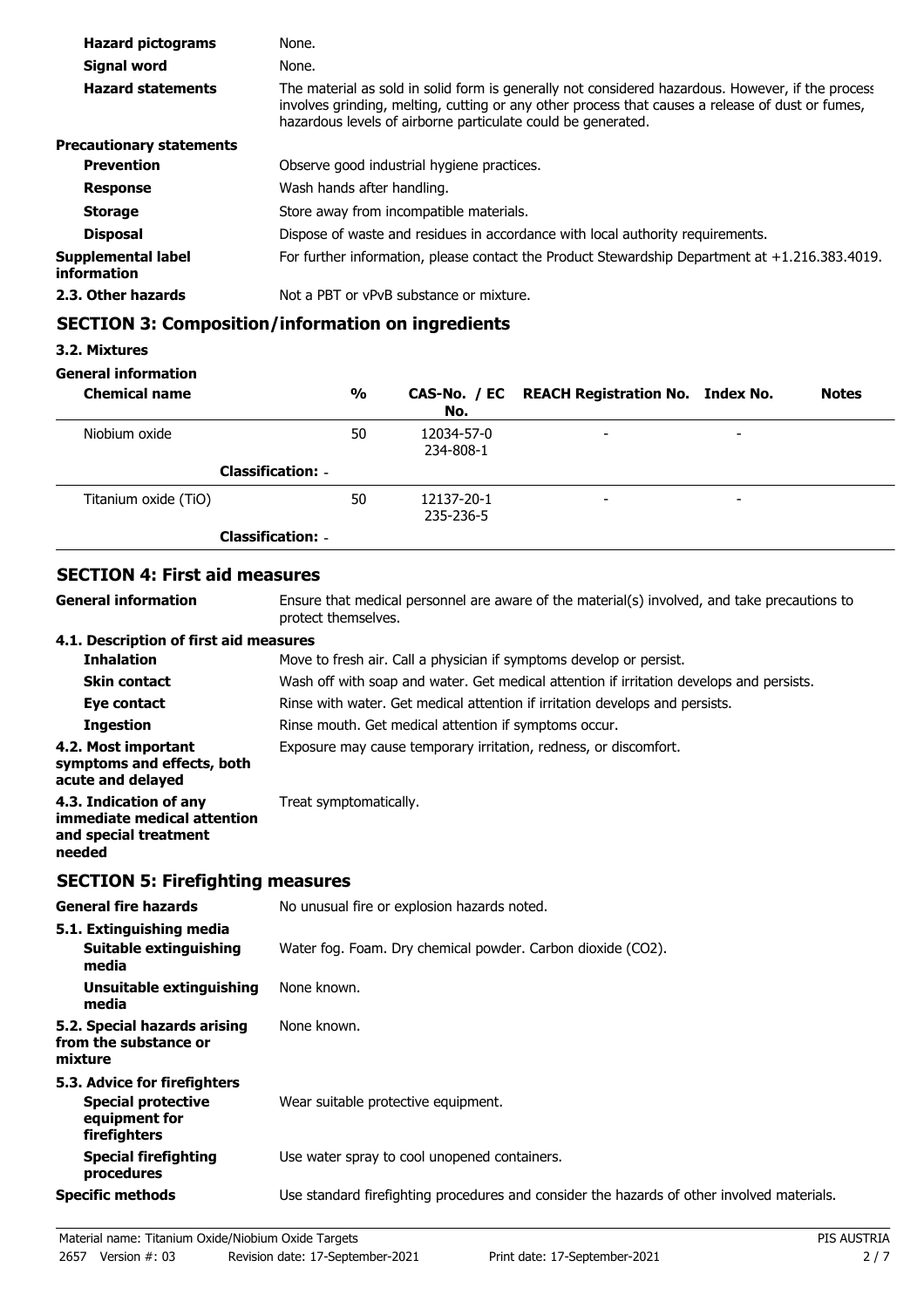| <b>Hazard pictograms</b>          | None.                                                                                                                                                                                                                                                                 |
|-----------------------------------|-----------------------------------------------------------------------------------------------------------------------------------------------------------------------------------------------------------------------------------------------------------------------|
| Signal word                       | None.                                                                                                                                                                                                                                                                 |
| <b>Hazard statements</b>          | The material as sold in solid form is generally not considered hazardous. However, if the process<br>involves grinding, melting, cutting or any other process that causes a release of dust or fumes,<br>hazardous levels of airborne particulate could be generated. |
| <b>Precautionary statements</b>   |                                                                                                                                                                                                                                                                       |
| <b>Prevention</b>                 | Observe good industrial hygiene practices.                                                                                                                                                                                                                            |
| <b>Response</b>                   | Wash hands after handling.                                                                                                                                                                                                                                            |
| <b>Storage</b>                    | Store away from incompatible materials.                                                                                                                                                                                                                               |
| <b>Disposal</b>                   | Dispose of waste and residues in accordance with local authority requirements.                                                                                                                                                                                        |
| Supplemental label<br>information | For further information, please contact the Product Stewardship Department at $+1.216.383.4019$ .                                                                                                                                                                     |
| 2.3. Other hazards                | Not a PBT or vPvB substance or mixture.                                                                                                                                                                                                                               |

# **SECTION 3: Composition/information on ingredients**

## **3.2. Mixtures**

## **General information**

| <b>Chemical name</b>     | %  | No.                     | CAS-No. / EC REACH Registration No. Index No. |                          | <b>Notes</b> |
|--------------------------|----|-------------------------|-----------------------------------------------|--------------------------|--------------|
| Niobium oxide            | 50 | 12034-57-0<br>234-808-1 | $\overline{\phantom{0}}$                      | $\overline{\phantom{0}}$ |              |
| <b>Classification: -</b> |    |                         |                                               |                          |              |
| Titanium oxide (TiO)     | 50 | 12137-20-1<br>235-236-5 | $\overline{\phantom{0}}$                      | $\overline{\phantom{0}}$ |              |
| <b>Classification: -</b> |    |                         |                                               |                          |              |

# **SECTION 4: First aid measures**

| SECTION 4: FIFST ald measures                                                                                       |
|---------------------------------------------------------------------------------------------------------------------|
| Ensure that medical personnel are aware of the material(s) involved, and take precautions to<br>protect themselves. |
| 4.1. Description of first aid measures                                                                              |
| Move to fresh air. Call a physician if symptoms develop or persist.                                                 |
| Wash off with soap and water. Get medical attention if irritation develops and persists.                            |
| Rinse with water. Get medical attention if irritation develops and persists.                                        |
| Rinse mouth. Get medical attention if symptoms occur.                                                               |
| Exposure may cause temporary irritation, redness, or discomfort.                                                    |
| Treat symptomatically.                                                                                              |
|                                                                                                                     |

# **SECTION 5: Firefighting measures**

| <b>General fire hazards</b>                                                                | No unusual fire or explosion hazards noted.                                                |
|--------------------------------------------------------------------------------------------|--------------------------------------------------------------------------------------------|
| 5.1. Extinguishing media<br>Suitable extinguishing<br>media                                | Water fog. Foam. Dry chemical powder. Carbon dioxide (CO2).                                |
| Unsuitable extinguishing<br>media                                                          | None known.                                                                                |
| 5.2. Special hazards arising<br>from the substance or<br>mixture                           | None known.                                                                                |
| 5.3. Advice for firefighters<br><b>Special protective</b><br>equipment for<br>firefighters | Wear suitable protective equipment.                                                        |
| <b>Special firefighting</b><br>procedures                                                  | Use water spray to cool unopened containers.                                               |
| <b>Specific methods</b>                                                                    | Use standard firefighting procedures and consider the hazards of other involved materials. |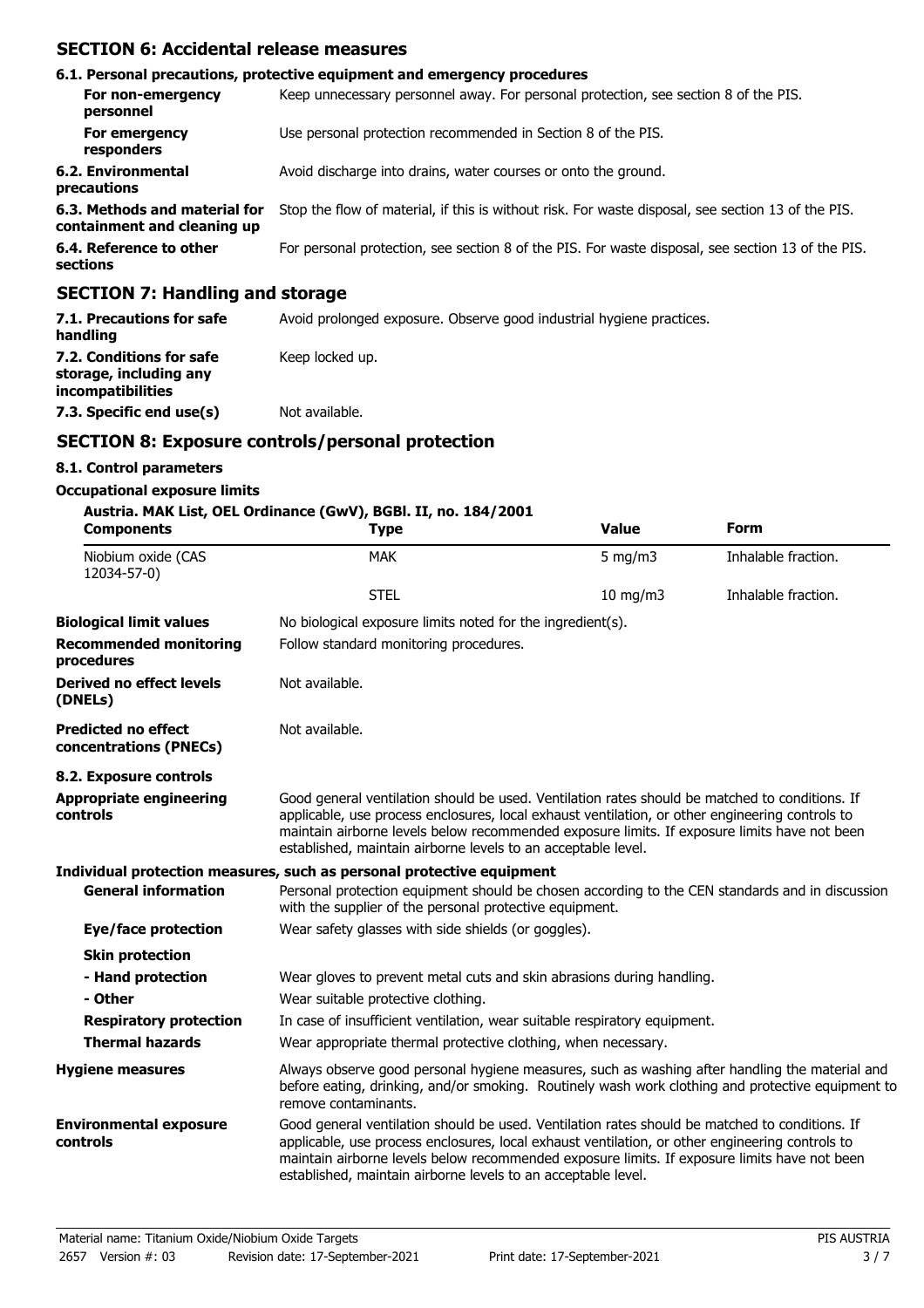## **SECTION 6: Accidental release measures**

|                                                              | 6.1. Personal precautions, protective equipment and emergency procedures                           |
|--------------------------------------------------------------|----------------------------------------------------------------------------------------------------|
| For non-emergency<br>personnel                               | Keep unnecessary personnel away. For personal protection, see section 8 of the PIS.                |
| For emergency<br>responders                                  | Use personal protection recommended in Section 8 of the PIS.                                       |
| 6.2. Environmental<br>precautions                            | Avoid discharge into drains, water courses or onto the ground.                                     |
| 6.3. Methods and material for<br>containment and cleaning up | Stop the flow of material, if this is without risk. For waste disposal, see section 13 of the PIS. |
| 6.4. Reference to other<br>sections                          | For personal protection, see section 8 of the PIS. For waste disposal, see section 13 of the PIS.  |
| CECTION 7. Hondling and starses                              |                                                                                                    |

### **SECTION 7: Handling and storage**

| 7.1. Precautions for safe<br>handling                                   | Avoid prolonged exposure. Observe good industrial hygiene practices. |
|-------------------------------------------------------------------------|----------------------------------------------------------------------|
| 7.2. Conditions for safe<br>storage, including any<br>incompatibilities | Keep locked up.                                                      |
| 7.3. Specific end use(s)                                                | Not available.                                                       |

## **SECTION 8: Exposure controls/personal protection**

### **8.1. Control parameters**

#### **Occupational exposure limits**

### **Austria. MAK List, OEL Ordinance (GwV), BGBl. II, no. 184/2001**

| <b>Components</b>                                    | 301a. PIAN LIST, ULL UNINGHICE (GW Y J, DGDI. 11, NO. 104/2001<br><b>Type</b>                                                                                                                                                                                                                                                                                      | <b>Value</b>      | <b>Form</b>         |
|------------------------------------------------------|--------------------------------------------------------------------------------------------------------------------------------------------------------------------------------------------------------------------------------------------------------------------------------------------------------------------------------------------------------------------|-------------------|---------------------|
| Niobium oxide (CAS<br>12034-57-0)                    | <b>MAK</b>                                                                                                                                                                                                                                                                                                                                                         | $5 \text{ mg/m}$  | Inhalable fraction. |
|                                                      | <b>STEL</b>                                                                                                                                                                                                                                                                                                                                                        | $10 \text{ mg/m}$ | Inhalable fraction. |
| <b>Biological limit values</b>                       | No biological exposure limits noted for the ingredient(s).                                                                                                                                                                                                                                                                                                         |                   |                     |
| <b>Recommended monitoring</b><br>procedures          | Follow standard monitoring procedures.                                                                                                                                                                                                                                                                                                                             |                   |                     |
| <b>Derived no effect levels</b><br>(DNELs)           | Not available.                                                                                                                                                                                                                                                                                                                                                     |                   |                     |
| <b>Predicted no effect</b><br>concentrations (PNECs) | Not available.                                                                                                                                                                                                                                                                                                                                                     |                   |                     |
| 8.2. Exposure controls                               |                                                                                                                                                                                                                                                                                                                                                                    |                   |                     |
| <b>Appropriate engineering</b><br>controls           | Good general ventilation should be used. Ventilation rates should be matched to conditions. If<br>applicable, use process enclosures, local exhaust ventilation, or other engineering controls to<br>maintain airborne levels below recommended exposure limits. If exposure limits have not been<br>established, maintain airborne levels to an acceptable level. |                   |                     |
|                                                      | Individual protection measures, such as personal protective equipment                                                                                                                                                                                                                                                                                              |                   |                     |
| <b>General information</b>                           | Personal protection equipment should be chosen according to the CEN standards and in discussion<br>with the supplier of the personal protective equipment.                                                                                                                                                                                                         |                   |                     |
| Eye/face protection                                  | Wear safety glasses with side shields (or goggles).                                                                                                                                                                                                                                                                                                                |                   |                     |
| <b>Skin protection</b>                               |                                                                                                                                                                                                                                                                                                                                                                    |                   |                     |
| - Hand protection                                    | Wear gloves to prevent metal cuts and skin abrasions during handling.                                                                                                                                                                                                                                                                                              |                   |                     |
| - Other                                              | Wear suitable protective clothing.                                                                                                                                                                                                                                                                                                                                 |                   |                     |
| <b>Respiratory protection</b>                        | In case of insufficient ventilation, wear suitable respiratory equipment.                                                                                                                                                                                                                                                                                          |                   |                     |
| <b>Thermal hazards</b>                               | Wear appropriate thermal protective clothing, when necessary.                                                                                                                                                                                                                                                                                                      |                   |                     |
| <b>Hygiene measures</b>                              | Always observe good personal hygiene measures, such as washing after handling the material and<br>before eating, drinking, and/or smoking. Routinely wash work clothing and protective equipment to<br>remove contaminants.                                                                                                                                        |                   |                     |
| <b>Environmental exposure</b><br>controls            | Good general ventilation should be used. Ventilation rates should be matched to conditions. If<br>applicable, use process enclosures, local exhaust ventilation, or other engineering controls to<br>maintain airborne levels below recommended exposure limits. If exposure limits have not been<br>established, maintain airborne levels to an acceptable level. |                   |                     |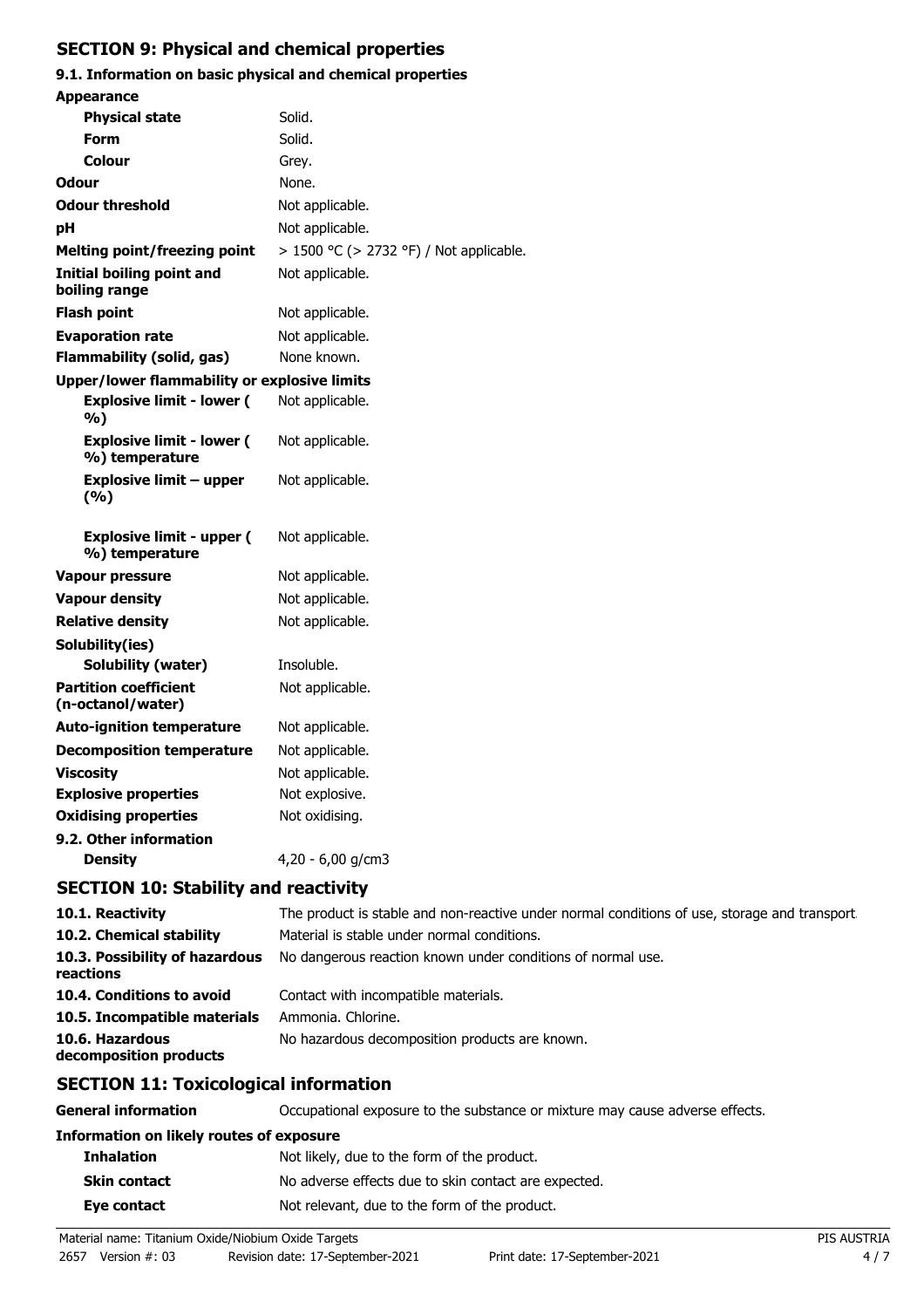# **SECTION 9: Physical and chemical properties**

# **9.1. Information on basic physical and chemical properties**

| <b>Appearance</b>                                  |                                         |
|----------------------------------------------------|-----------------------------------------|
| <b>Physical state</b>                              | Solid.                                  |
| Form                                               | Solid.                                  |
| Colour                                             | Grey.                                   |
| <b>Odour</b>                                       | None.                                   |
| <b>Odour threshold</b>                             | Not applicable.                         |
| рH                                                 | Not applicable.                         |
| <b>Melting point/freezing point</b>                | > 1500 °C (> 2732 °F) / Not applicable. |
| Initial boiling point and<br>boiling range         | Not applicable.                         |
| <b>Flash point</b>                                 | Not applicable.                         |
| <b>Evaporation rate</b>                            | Not applicable.                         |
| <b>Flammability (solid, gas)</b>                   | None known.                             |
| Upper/lower flammability or explosive limits       |                                         |
| <b>Explosive limit - lower (</b><br>%)             | Not applicable.                         |
| <b>Explosive limit - lower (</b><br>%) temperature | Not applicable.                         |
| <b>Explosive limit - upper</b><br>(%)              | Not applicable.                         |
| <b>Explosive limit - upper (</b><br>%) temperature | Not applicable.                         |
| Vapour pressure                                    | Not applicable.                         |
| <b>Vapour density</b>                              | Not applicable.                         |
| <b>Relative density</b>                            | Not applicable.                         |
| Solubility(ies)                                    |                                         |
| Solubility (water)                                 | Insoluble.                              |
| <b>Partition coefficient</b><br>(n-octanol/water)  | Not applicable.                         |
| <b>Auto-ignition temperature</b>                   | Not applicable.                         |
| <b>Decomposition temperature</b>                   | Not applicable.                         |
| <b>Viscosity</b>                                   | Not applicable.                         |
| <b>Explosive properties</b>                        | Not explosive.                          |
| <b>Oxidising properties</b>                        | Not oxidising.                          |
| 9.2. Other information                             |                                         |
| Density                                            | 4,20 - 6,00 g/cm3                       |
| <b>SECTION 10: Stability and reactivity</b>        |                                         |

| 10.1. Reactivity                            | The product is stable and non-reactive under normal conditions of use, storage and transport |
|---------------------------------------------|----------------------------------------------------------------------------------------------|
| 10.2. Chemical stability                    | Material is stable under normal conditions.                                                  |
| 10.3. Possibility of hazardous<br>reactions | No dangerous reaction known under conditions of normal use.                                  |
| 10.4. Conditions to avoid                   | Contact with incompatible materials.                                                         |
| 10.5. Incompatible materials                | Ammonia. Chlorine.                                                                           |
| 10.6. Hazardous<br>decomposition products   | No hazardous decomposition products are known.                                               |

# **SECTION 11: Toxicological information**

**General information CCCUPATION** Occupational exposure to the substance or mixture may cause adverse effects.

| <b>Information on likely routes of exposure</b> |                                                      |  |
|-------------------------------------------------|------------------------------------------------------|--|
| <b>Inhalation</b>                               | Not likely, due to the form of the product.          |  |
| <b>Skin contact</b>                             | No adverse effects due to skin contact are expected. |  |
| Eye contact                                     | Not relevant, due to the form of the product.        |  |
|                                                 |                                                      |  |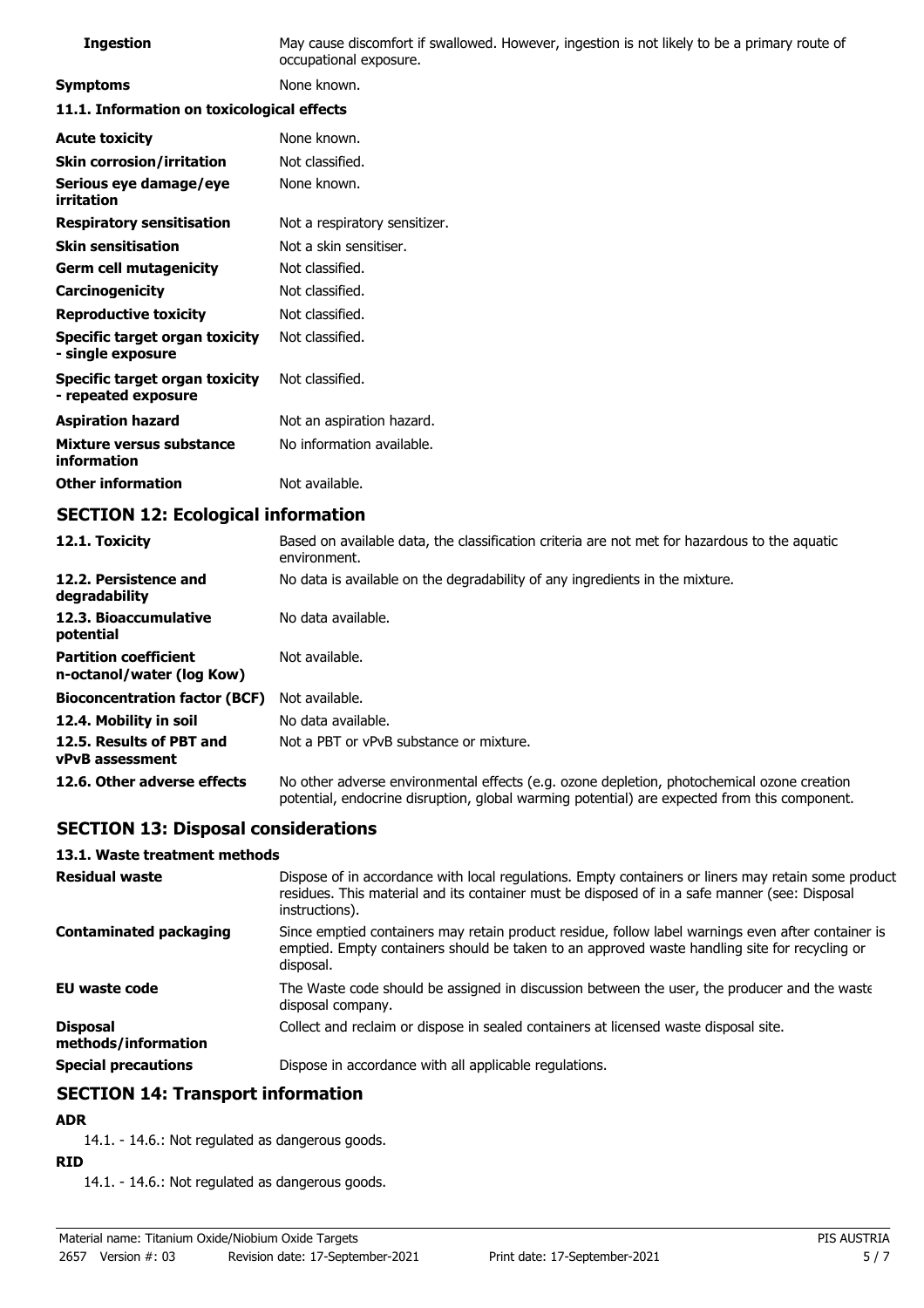| <b>Ingestion</b>                                      | May cause discomfort if swallowed. However, ingestion is not likely to be a primary route of<br>occupational exposure. |  |
|-------------------------------------------------------|------------------------------------------------------------------------------------------------------------------------|--|
| <b>Symptoms</b>                                       | None known.                                                                                                            |  |
| 11.1. Information on toxicological effects            |                                                                                                                        |  |
| <b>Acute toxicity</b>                                 | None known.                                                                                                            |  |
| <b>Skin corrosion/irritation</b>                      | Not classified.                                                                                                        |  |
| Serious eye damage/eye<br>irritation                  | None known.                                                                                                            |  |
| <b>Respiratory sensitisation</b>                      | Not a respiratory sensitizer.                                                                                          |  |
| <b>Skin sensitisation</b>                             | Not a skin sensitiser.                                                                                                 |  |
| <b>Germ cell mutagenicity</b>                         | Not classified.                                                                                                        |  |
| Carcinogenicity                                       | Not classified.                                                                                                        |  |
| <b>Reproductive toxicity</b>                          | Not classified.                                                                                                        |  |
| Specific target organ toxicity<br>- single exposure   | Not classified.                                                                                                        |  |
| Specific target organ toxicity<br>- repeated exposure | Not classified.                                                                                                        |  |
| <b>Aspiration hazard</b>                              | Not an aspiration hazard.                                                                                              |  |
| Mixture versus substance<br>information               | No information available.                                                                                              |  |
| <b>Other information</b>                              | Not available.                                                                                                         |  |

# **SECTION 12: Ecological information**

| 12.1. Toxicity                                            | Based on available data, the classification criteria are not met for hazardous to the aquatic<br>environment.                                                                              |
|-----------------------------------------------------------|--------------------------------------------------------------------------------------------------------------------------------------------------------------------------------------------|
| 12.2. Persistence and<br>degradability                    | No data is available on the degradability of any ingredients in the mixture.                                                                                                               |
| 12.3. Bioaccumulative<br>potential                        | No data available.                                                                                                                                                                         |
| <b>Partition coefficient</b><br>n-octanol/water (log Kow) | Not available.                                                                                                                                                                             |
| <b>Bioconcentration factor (BCF)</b>                      | Not available.                                                                                                                                                                             |
| 12.4. Mobility in soil                                    | No data available.                                                                                                                                                                         |
| 12.5. Results of PBT and<br><b>vPvB</b> assessment        | Not a PBT or vPvB substance or mixture.                                                                                                                                                    |
| 12.6. Other adverse effects                               | No other adverse environmental effects (e.g. ozone depletion, photochemical ozone creation<br>potential, endocrine disruption, global warming potential) are expected from this component. |

# **SECTION 13: Disposal considerations**

#### **13.1. Waste treatment methods**

| <b>Residual waste</b>                  | Dispose of in accordance with local regulations. Empty containers or liners may retain some product<br>residues. This material and its container must be disposed of in a safe manner (see: Disposal<br>instructions). |
|----------------------------------------|------------------------------------------------------------------------------------------------------------------------------------------------------------------------------------------------------------------------|
| <b>Contaminated packaging</b>          | Since emptied containers may retain product residue, follow label warnings even after container is<br>emptied. Empty containers should be taken to an approved waste handling site for recycling or<br>disposal.       |
| <b>EU waste code</b>                   | The Waste code should be assigned in discussion between the user, the producer and the waste<br>disposal company.                                                                                                      |
| <b>Disposal</b><br>methods/information | Collect and reclaim or dispose in sealed containers at licensed waste disposal site.                                                                                                                                   |
| <b>Special precautions</b>             | Dispose in accordance with all applicable regulations.                                                                                                                                                                 |

# **SECTION 14: Transport information**

### **ADR**

14.1. - 14.6.: Not regulated as dangerous goods.

## **RID**

14.1. - 14.6.: Not regulated as dangerous goods.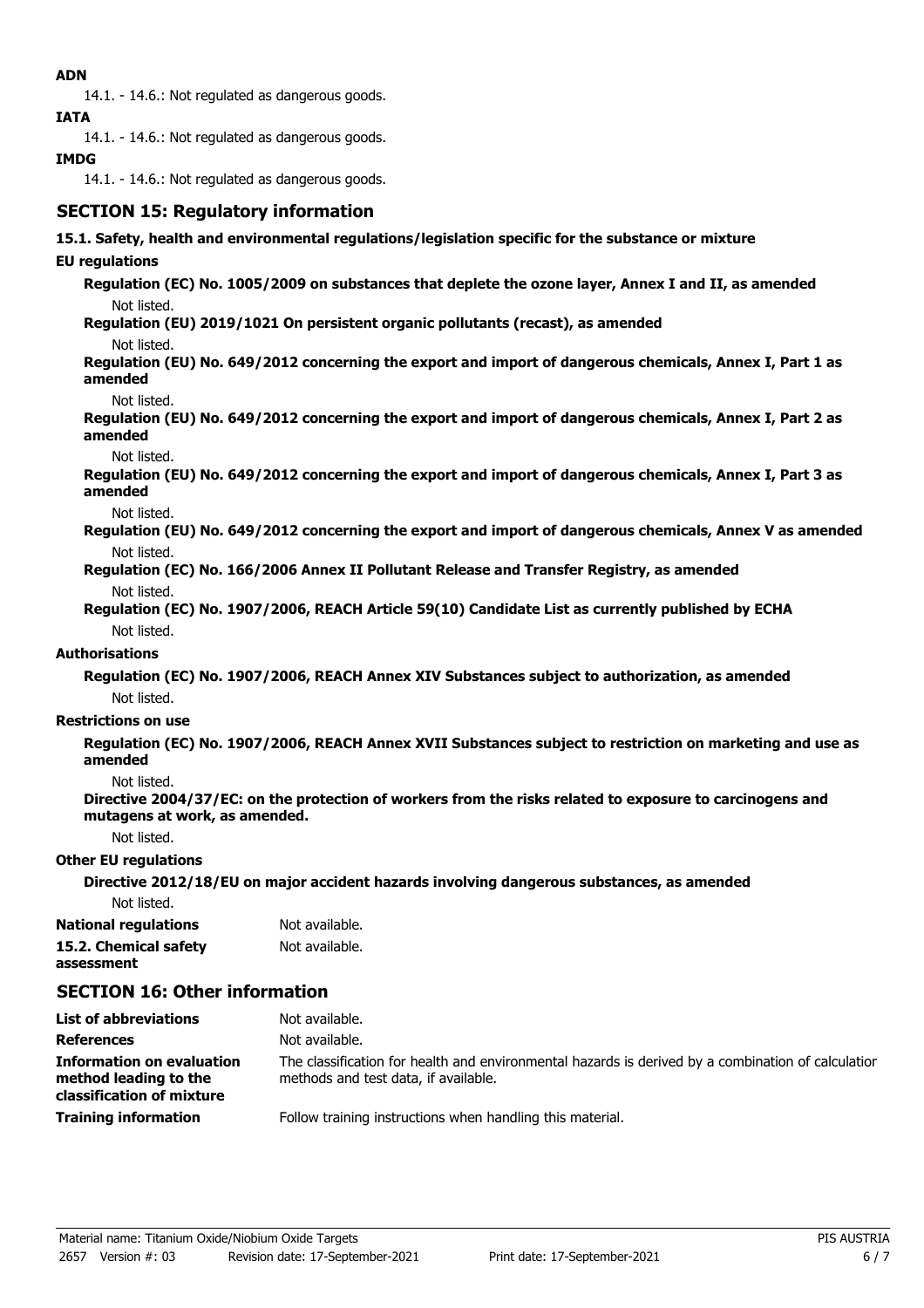### **ADN**

14.1. - 14.6.: Not regulated as dangerous goods.

**IATA**

14.1. - 14.6.: Not regulated as dangerous goods.

### **IMDG**

14.1. - 14.6.: Not regulated as dangerous goods.

# **SECTION 15: Regulatory information**

### **15.1. Safety, health and environmental regulations/legislation specific for the substance or mixture**

### **EU regulations**

**Regulation (EC) No. 1005/2009 on substances that deplete the ozone layer, Annex I and II, as amended** Not listed.

**Regulation (EU) 2019/1021 On persistent organic pollutants (recast), as amended**

Not listed.

**Regulation (EU) No. 649/2012 concerning the export and import of dangerous chemicals, Annex I, Part 1 as amended**

Not listed.

**Regulation (EU) No. 649/2012 concerning the export and import of dangerous chemicals, Annex I, Part 2 as amended**

Not listed.

**Regulation (EU) No. 649/2012 concerning the export and import of dangerous chemicals, Annex I, Part 3 as amended**

Not listed.

**Regulation (EU) No. 649/2012 concerning the export and import of dangerous chemicals, Annex V as amended** Not listed.

**Regulation (EC) No. 166/2006 Annex II Pollutant Release and Transfer Registry, as amended** Not listed.

**Regulation (EC) No. 1907/2006, REACH Article 59(10) Candidate List as currently published by ECHA** Not listed.

### **Authorisations**

**Regulation (EC) No. 1907/2006, REACH Annex XIV Substances subject to authorization, as amended** Not listed.

#### **Restrictions on use**

**Regulation (EC) No. 1907/2006, REACH Annex XVII Substances subject to restriction on marketing and use as amended**

Not listed.

**Directive 2004/37/EC: on the protection of workers from the risks related to exposure to carcinogens and mutagens at work, as amended.**

Not listed.

#### **Other EU regulations**

**Directive 2012/18/EU on major accident hazards involving dangerous substances, as amended**

Not listed.

**National regulations** Not available. **15.2. Chemical safety** Not available. **assessment**

# **SECTION 16: Other information**

| <b>List of abbreviations</b>                                                           | Not available.                                                                                                                             |
|----------------------------------------------------------------------------------------|--------------------------------------------------------------------------------------------------------------------------------------------|
| <b>References</b>                                                                      | Not available.                                                                                                                             |
| <b>Information on evaluation</b><br>method leading to the<br>classification of mixture | The classification for health and environmental hazards is derived by a combination of calculatior<br>methods and test data, if available. |
| <b>Training information</b>                                                            | Follow training instructions when handling this material.                                                                                  |